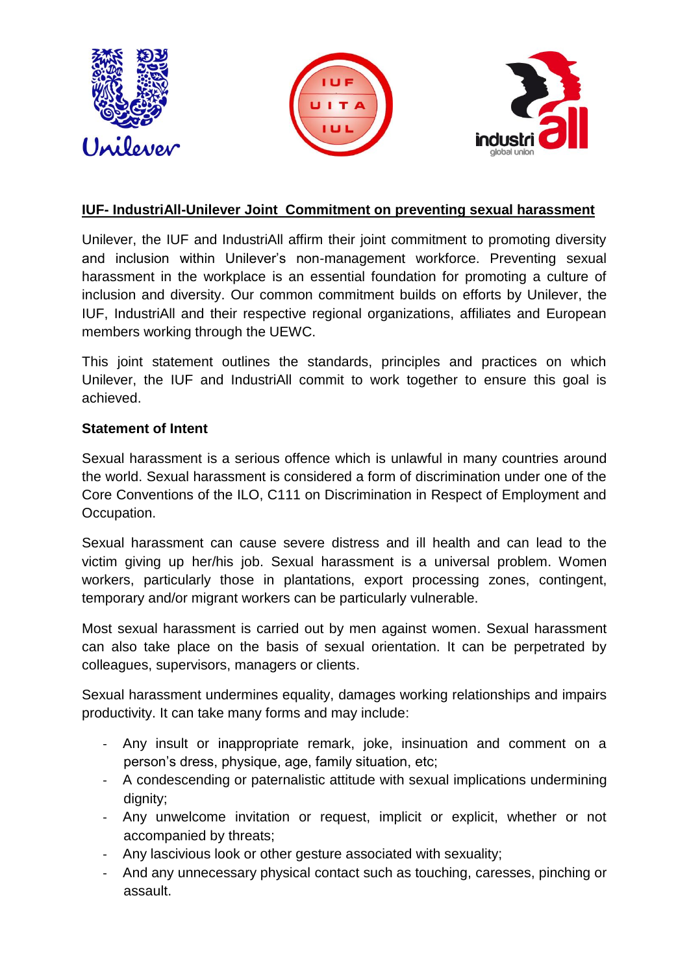





## **IUF- IndustriAll-Unilever Joint Commitment on preventing sexual harassment**

Unilever, the IUF and IndustriAll affirm their joint commitment to promoting diversity and inclusion within Unilever's non-management workforce. Preventing sexual harassment in the workplace is an essential foundation for promoting a culture of inclusion and diversity. Our common commitment builds on efforts by Unilever, the IUF, IndustriAll and their respective regional organizations, affiliates and European members working through the UEWC.

This joint statement outlines the standards, principles and practices on which Unilever, the IUF and IndustriAll commit to work together to ensure this goal is achieved.

## **Statement of Intent**

Sexual harassment is a serious offence which is unlawful in many countries around the world. Sexual harassment is considered a form of discrimination under one of the Core Conventions of the ILO, C111 on Discrimination in Respect of Employment and Occupation.

Sexual harassment can cause severe distress and ill health and can lead to the victim giving up her/his job. Sexual harassment is a universal problem. Women workers, particularly those in plantations, export processing zones, contingent, temporary and/or migrant workers can be particularly vulnerable.

Most sexual harassment is carried out by men against women. Sexual harassment can also take place on the basis of sexual orientation. It can be perpetrated by colleagues, supervisors, managers or clients.

Sexual harassment undermines equality, damages working relationships and impairs productivity. It can take many forms and may include:

- Any insult or inappropriate remark, joke, insinuation and comment on a person's dress, physique, age, family situation, etc;
- A condescending or paternalistic attitude with sexual implications undermining dignity;
- Any unwelcome invitation or request, implicit or explicit, whether or not accompanied by threats;
- Any lascivious look or other gesture associated with sexuality;
- And any unnecessary physical contact such as touching, caresses, pinching or assault.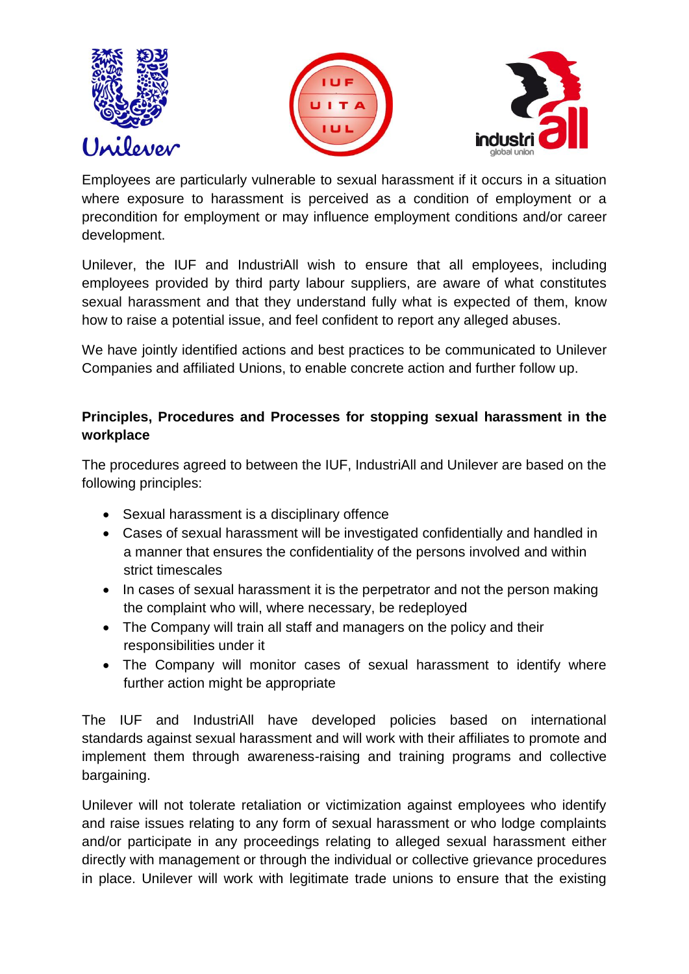





Employees are particularly vulnerable to sexual harassment if it occurs in a situation where exposure to harassment is perceived as a condition of employment or a precondition for employment or may influence employment conditions and/or career development.

Unilever, the IUF and IndustriAll wish to ensure that all employees, including employees provided by third party labour suppliers, are aware of what constitutes sexual harassment and that they understand fully what is expected of them, know how to raise a potential issue, and feel confident to report any alleged abuses.

We have jointly identified actions and best practices to be communicated to Unilever Companies and affiliated Unions, to enable concrete action and further follow up.

## **Principles, Procedures and Processes for stopping sexual harassment in the workplace**

The procedures agreed to between the IUF, IndustriAll and Unilever are based on the following principles:

- Sexual harassment is a disciplinary offence
- Cases of sexual harassment will be investigated confidentially and handled in a manner that ensures the confidentiality of the persons involved and within strict timescales
- In cases of sexual harassment it is the perpetrator and not the person making the complaint who will, where necessary, be redeployed
- The Company will train all staff and managers on the policy and their responsibilities under it
- The Company will monitor cases of sexual harassment to identify where further action might be appropriate

The IUF and IndustriAll have developed policies based on international standards against sexual harassment and will work with their affiliates to promote and implement them through awareness-raising and training programs and collective bargaining.

Unilever will not tolerate retaliation or victimization against employees who identify and raise issues relating to any form of sexual harassment or who lodge complaints and/or participate in any proceedings relating to alleged sexual harassment either directly with management or through the individual or collective grievance procedures in place. Unilever will work with legitimate trade unions to ensure that the existing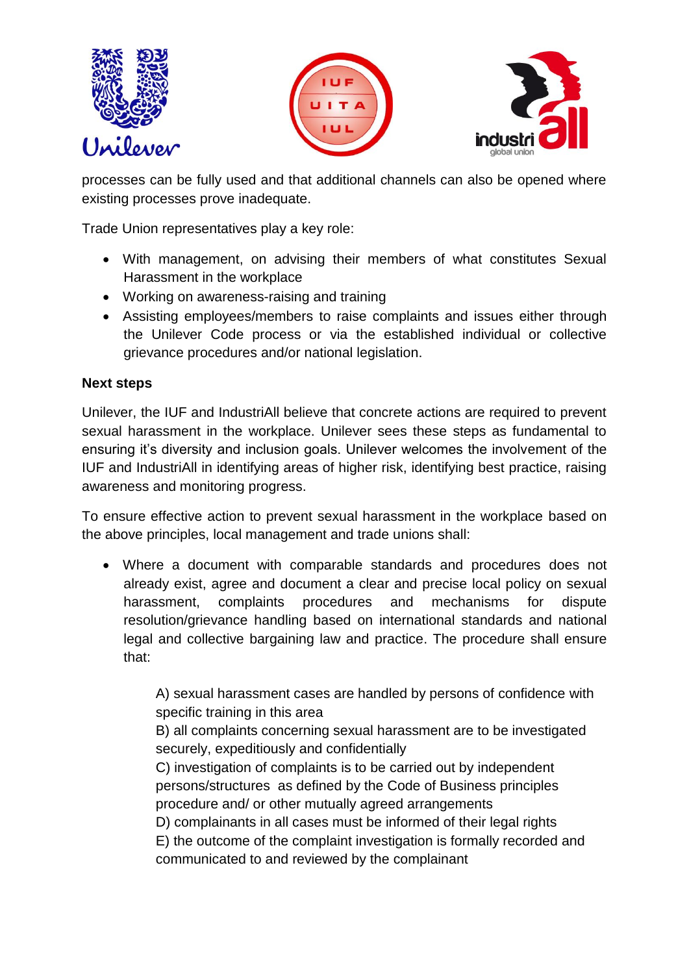





processes can be fully used and that additional channels can also be opened where existing processes prove inadequate.

Trade Union representatives play a key role:

- With management, on advising their members of what constitutes Sexual Harassment in the workplace
- Working on awareness-raising and training
- Assisting employees/members to raise complaints and issues either through the Unilever Code process or via the established individual or collective grievance procedures and/or national legislation.

## **Next steps**

Unilever, the IUF and IndustriAll believe that concrete actions are required to prevent sexual harassment in the workplace. Unilever sees these steps as fundamental to ensuring it's diversity and inclusion goals. Unilever welcomes the involvement of the IUF and IndustriAll in identifying areas of higher risk, identifying best practice, raising awareness and monitoring progress.

To ensure effective action to prevent sexual harassment in the workplace based on the above principles, local management and trade unions shall:

 Where a document with comparable standards and procedures does not already exist, agree and document a clear and precise local policy on sexual harassment, complaints procedures and mechanisms for dispute resolution/grievance handling based on international standards and national legal and collective bargaining law and practice. The procedure shall ensure that:

> A) sexual harassment cases are handled by persons of confidence with specific training in this area

B) all complaints concerning sexual harassment are to be investigated securely, expeditiously and confidentially

C) investigation of complaints is to be carried out by independent persons/structures as defined by the Code of Business principles procedure and/ or other mutually agreed arrangements

D) complainants in all cases must be informed of their legal rights

E) the outcome of the complaint investigation is formally recorded and communicated to and reviewed by the complainant